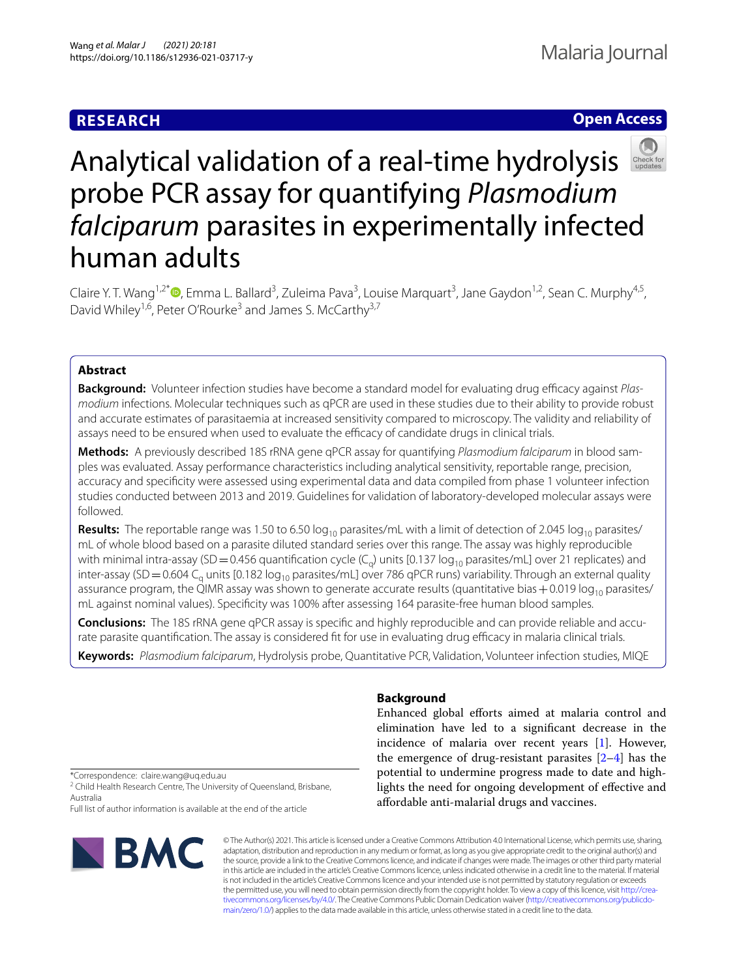# **RESEARCH**

# **Open Access**



# Analytical validation of a real-time hydrolysis probe PCR assay for quantifying *Plasmodium falciparum* parasites in experimentally infected human adults

Claire Y. T. Wang<sup>1[,](http://orcid.org/0000-0003-2572-0760)2\*</sup><sup>®</sup>, Emma L. Ballard<sup>3</sup>, Zuleima Pava<sup>3</sup>, Louise Marquart<sup>3</sup>, Jane Gaydon<sup>1,2</sup>, Sean C. Murphy<sup>4,5</sup>, David Whiley<sup>1,6</sup>, Peter O'Rourke<sup>3</sup> and James S. McCarthy<sup>3,7</sup>

# **Abstract**

**Background:** Volunteer infection studies have become a standard model for evaluating drug efficacy against Plas*modium* infections. Molecular techniques such as qPCR are used in these studies due to their ability to provide robust and accurate estimates of parasitaemia at increased sensitivity compared to microscopy. The validity and reliability of assays need to be ensured when used to evaluate the efficacy of candidate drugs in clinical trials.

**Methods:** A previously described 18S rRNA gene qPCR assay for quantifying *Plasmodium falciparum* in blood samples was evaluated. Assay performance characteristics including analytical sensitivity, reportable range, precision, accuracy and specifcity were assessed using experimental data and data compiled from phase 1 volunteer infection studies conducted between 2013 and 2019. Guidelines for validation of laboratory-developed molecular assays were followed.

**Results:** The reportable range was 1.50 to 6.50  $log_{10}$  parasites/mL with a limit of detection of 2.045  $log_{10}$  parasites/ mL of whole blood based on a parasite diluted standard series over this range. The assay was highly reproducible with minimal intra-assay (SD=0.456 quantification cycle (C<sub>0</sub>) units [0.137 log<sub>10</sub> parasites/mL] over 21 replicates) and inter-assay (SD = 0.604 C<sub>q</sub> units [0.182 log<sub>10</sub> parasites/mL] over 786 qPCR runs) variability. Through an external quality assurance program, the QIMR assay was shown to generate accurate results (quantitative bias  $+0.019 \log_{10}$  parasites/ mL against nominal values). Specifcity was 100% after assessing 164 parasite-free human blood samples.

**Conclusions:** The 18S rRNA gene qPCR assay is specifc and highly reproducible and can provide reliable and accurate parasite quantification. The assay is considered fit for use in evaluating drug efficacy in malaria clinical trials. **Keywords:** *Plasmodium falciparum*, Hydrolysis probe, Quantitative PCR, Validation, Volunteer infection studies, MIQE

**Background**

Enhanced global efforts aimed at malaria control and elimination have led to a signifcant decrease in the incidence of malaria over recent years [\[1](#page-6-0)]. However, the emergence of drug-resistant parasites  $[2-4]$  $[2-4]$  has the potential to undermine progress made to date and highlights the need for ongoing development of efective and afordable anti-malarial drugs and vaccines.

\*Correspondence: claire.wang@uq.edu.au

<sup>2</sup> Child Health Research Centre, The University of Queensland, Brisbane, Australia

Full list of author information is available at the end of the article



© The Author(s) 2021. This article is licensed under a Creative Commons Attribution 4.0 International License, which permits use, sharing, adaptation, distribution and reproduction in any medium or format, as long as you give appropriate credit to the original author(s) and the source, provide a link to the Creative Commons licence, and indicate if changes were made. The images or other third party material in this article are included in the article's Creative Commons licence, unless indicated otherwise in a credit line to the material. If material is not included in the article's Creative Commons licence and your intended use is not permitted by statutory regulation or exceeds the permitted use, you will need to obtain permission directly from the copyright holder. To view a copy of this licence, visit [http://crea](http://creativecommons.org/licenses/by/4.0/)[tivecommons.org/licenses/by/4.0/.](http://creativecommons.org/licenses/by/4.0/) The Creative Commons Public Domain Dedication waiver ([http://creativecommons.org/publicdo](http://creativecommons.org/publicdomain/zero/1.0/)[main/zero/1.0/\)](http://creativecommons.org/publicdomain/zero/1.0/) applies to the data made available in this article, unless otherwise stated in a credit line to the data.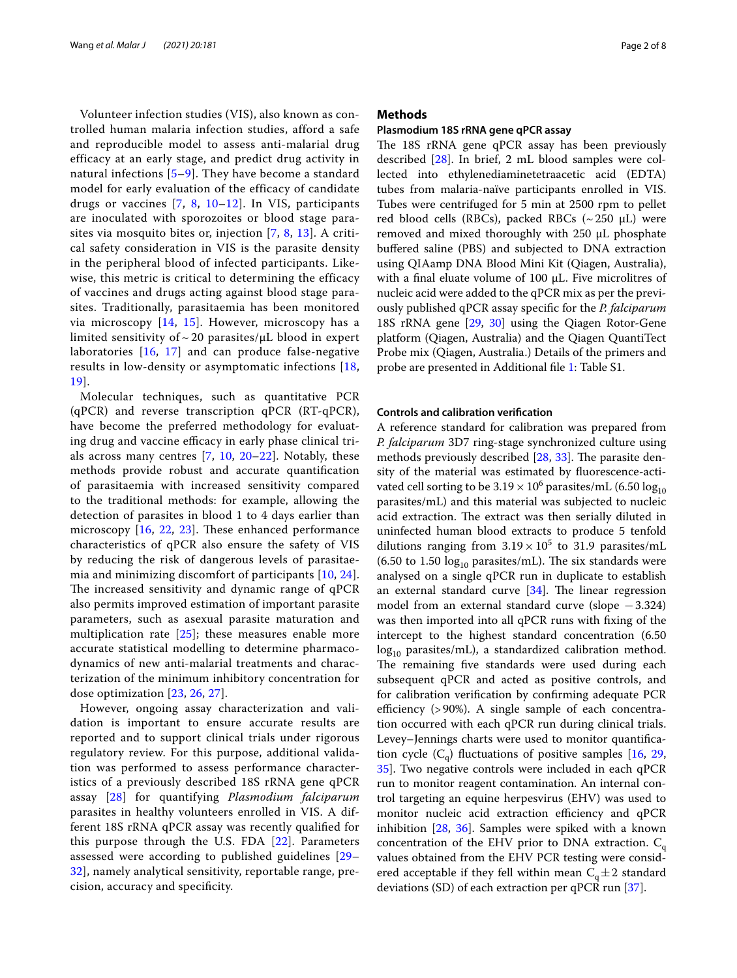Volunteer infection studies (VIS), also known as controlled human malaria infection studies, afford a safe and reproducible model to assess anti-malarial drug efficacy at an early stage, and predict drug activity in natural infections [\[5](#page-6-3)–[9\]](#page-6-4). They have become a standard model for early evaluation of the efficacy of candidate drugs or vaccines  $[7, 8, 10-12]$  $[7, 8, 10-12]$  $[7, 8, 10-12]$  $[7, 8, 10-12]$  $[7, 8, 10-12]$ . In VIS, participants are inoculated with sporozoites or blood stage parasites via mosquito bites or, injection [[7,](#page-6-5) [8,](#page-6-6) [13](#page-6-9)]. A critical safety consideration in VIS is the parasite density in the peripheral blood of infected participants. Likewise, this metric is critical to determining the efficacy of vaccines and drugs acting against blood stage parasites. Traditionally, parasitaemia has been monitored via microscopy [[14](#page-6-10), [15](#page-6-11)]. However, microscopy has a limited sensitivity of  $\sim$  20 parasites/ $\mu$ L blood in expert laboratories [[16](#page-6-12), [17\]](#page-6-13) and can produce false-negative results in low-density or asymptomatic infections [[18](#page-6-14), [19\]](#page-6-15).

Molecular techniques, such as quantitative PCR (qPCR) and reverse transcription qPCR (RT-qPCR), have become the preferred methodology for evaluating drug and vaccine efficacy in early phase clinical trials across many centres  $[7, 10, 20-22]$  $[7, 10, 20-22]$  $[7, 10, 20-22]$  $[7, 10, 20-22]$  $[7, 10, 20-22]$ . Notably, these methods provide robust and accurate quantifcation of parasitaemia with increased sensitivity compared to the traditional methods: for example, allowing the detection of parasites in blood 1 to 4 days earlier than microscopy  $[16, 22, 23]$  $[16, 22, 23]$  $[16, 22, 23]$  $[16, 22, 23]$  $[16, 22, 23]$ . These enhanced performance characteristics of qPCR also ensure the safety of VIS by reducing the risk of dangerous levels of parasitaemia and minimizing discomfort of participants [[10](#page-6-7), [24\]](#page-6-19). The increased sensitivity and dynamic range of qPCR also permits improved estimation of important parasite parameters, such as asexual parasite maturation and multiplication rate  $[25]$  $[25]$ ; these measures enable more accurate statistical modelling to determine pharmacodynamics of new anti-malarial treatments and characterization of the minimum inhibitory concentration for dose optimization [[23,](#page-6-18) [26,](#page-6-21) [27](#page-6-22)].

However, ongoing assay characterization and validation is important to ensure accurate results are reported and to support clinical trials under rigorous regulatory review. For this purpose, additional validation was performed to assess performance characteristics of a previously described 18S rRNA gene qPCR assay [[28\]](#page-7-0) for quantifying *Plasmodium falciparum* parasites in healthy volunteers enrolled in VIS. A different 18S rRNA qPCR assay was recently qualifed for this purpose through the U.S. FDA [[22\]](#page-6-17). Parameters assessed were according to published guidelines [[29–](#page-7-1) [32\]](#page-7-2), namely analytical sensitivity, reportable range, precision, accuracy and specifcity.

# **Methods**

# **Plasmodium 18S rRNA gene qPCR assay**

The 18S rRNA gene qPCR assay has been previously described [[28](#page-7-0)]. In brief, 2 mL blood samples were collected into ethylenediaminetetraacetic acid (EDTA) tubes from malaria-naïve participants enrolled in VIS. Tubes were centrifuged for 5 min at 2500 rpm to pellet red blood cells (RBCs), packed RBCs  $({\sim}250 \mu L)$  were removed and mixed thoroughly with  $250 \mu L$  phosphate bufered saline (PBS) and subjected to DNA extraction using QIAamp DNA Blood Mini Kit (Qiagen, Australia), with a final eluate volume of 100 µL. Five microlitres of nucleic acid were added to the qPCR mix as per the previously published qPCR assay specifc for the *P. falciparum* 18S rRNA gene [\[29,](#page-7-1) [30](#page-7-3)] using the Qiagen Rotor-Gene platform (Qiagen, Australia) and the Qiagen QuantiTect Probe mix (Qiagen, Australia.) Details of the primers and probe are presented in Additional fle [1](#page-5-0): Table S1.

#### **Controls and calibration verifcation**

A reference standard for calibration was prepared from *P. falciparum* 3D7 ring-stage synchronized culture using methods previously described [[28,](#page-7-0) [33\]](#page-7-4). The parasite density of the material was estimated by fuorescence-activated cell sorting to be  $3.19 \times 10^6$  parasites/mL (6.50  $\log_{10}$ parasites/mL) and this material was subjected to nucleic acid extraction. The extract was then serially diluted in uninfected human blood extracts to produce 5 tenfold dilutions ranging from  $3.19 \times 10^5$  to 31.9 parasites/mL (6.50 to 1.50  $log_{10}$  parasites/mL). The six standards were analysed on a single qPCR run in duplicate to establish an external standard curve  $[34]$  $[34]$ . The linear regression model from an external standard curve (slope −3.324) was then imported into all qPCR runs with fxing of the intercept to the highest standard concentration (6.50  $log_{10}$  parasites/mL), a standardized calibration method. The remaining five standards were used during each subsequent qPCR and acted as positive controls, and for calibration verifcation by confrming adequate PCR efficiency  $(>90\%)$ . A single sample of each concentration occurred with each qPCR run during clinical trials. Levey–Jennings charts were used to monitor quantifcation cycle  $(C_q)$  fluctuations of positive samples [\[16](#page-6-12), [29](#page-7-1), [35\]](#page-7-6). Two negative controls were included in each qPCR run to monitor reagent contamination. An internal control targeting an equine herpesvirus (EHV) was used to monitor nucleic acid extraction efficiency and qPCR inhibition [\[28](#page-7-0), [36](#page-7-7)]. Samples were spiked with a known concentration of the EHV prior to DNA extraction.  $C_q$ values obtained from the EHV PCR testing were considered acceptable if they fell within mean  $C_q \pm 2$  standard deviations (SD) of each extraction per qPCR run [\[37](#page-7-8)].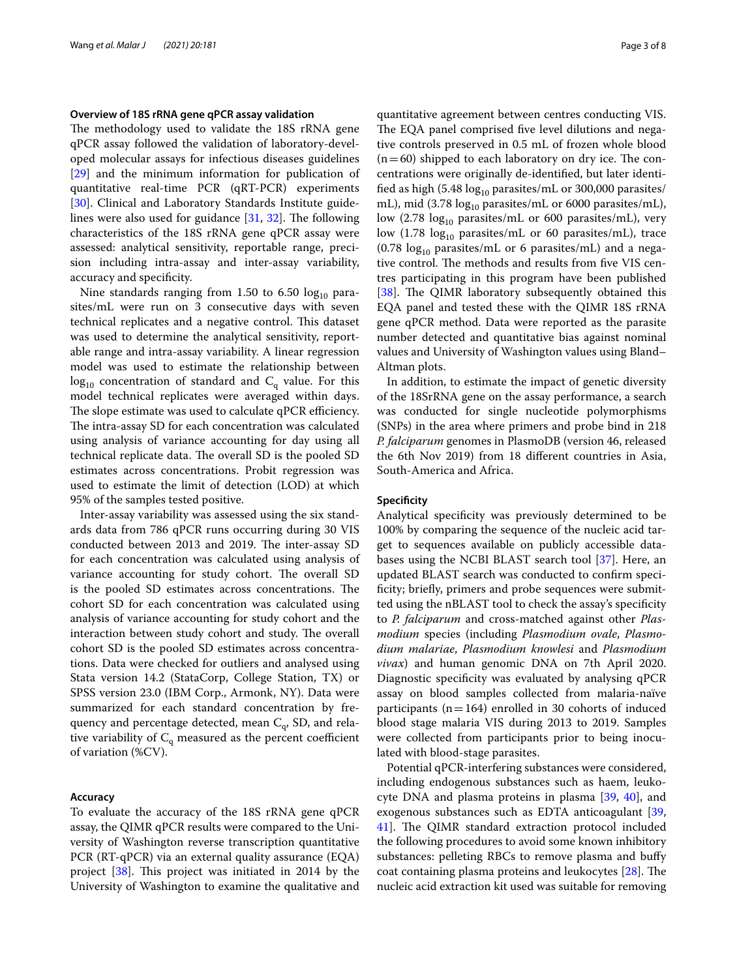# **Overview of 18S rRNA gene qPCR assay validation**

The methodology used to validate the 18S rRNA gene qPCR assay followed the validation of laboratory-developed molecular assays for infectious diseases guidelines [[29\]](#page-7-1) and the minimum information for publication of quantitative real-time PCR (qRT-PCR) experiments [[30\]](#page-7-3). Clinical and Laboratory Standards Institute guidelines were also used for guidance  $[31, 32]$  $[31, 32]$  $[31, 32]$  $[31, 32]$  $[31, 32]$ . The following characteristics of the 18S rRNA gene qPCR assay were assessed: analytical sensitivity, reportable range, precision including intra-assay and inter-assay variability, accuracy and specifcity.

Nine standards ranging from 1.50 to 6.50  $log_{10}$  parasites/mL were run on 3 consecutive days with seven technical replicates and a negative control. This dataset was used to determine the analytical sensitivity, reportable range and intra-assay variability. A linear regression model was used to estimate the relationship between  $log_{10}$  concentration of standard and  $C_q$  value. For this model technical replicates were averaged within days. The slope estimate was used to calculate qPCR efficiency. The intra-assay SD for each concentration was calculated using analysis of variance accounting for day using all technical replicate data. The overall SD is the pooled SD estimates across concentrations. Probit regression was used to estimate the limit of detection (LOD) at which 95% of the samples tested positive.

Inter-assay variability was assessed using the six standards data from 786 qPCR runs occurring during 30 VIS conducted between 2013 and 2019. The inter-assay SD for each concentration was calculated using analysis of variance accounting for study cohort. The overall SD is the pooled SD estimates across concentrations. The cohort SD for each concentration was calculated using analysis of variance accounting for study cohort and the interaction between study cohort and study. The overall cohort SD is the pooled SD estimates across concentrations. Data were checked for outliers and analysed using Stata version 14.2 (StataCorp, College Station, TX) or SPSS version 23.0 (IBM Corp., Armonk, NY). Data were summarized for each standard concentration by frequency and percentage detected, mean  $C_q$ , SD, and relative variability of  $C_q$  measured as the percent coefficient of variation (%CV).

# **Accuracy**

To evaluate the accuracy of the 18S rRNA gene qPCR assay, the QIMR qPCR results were compared to the University of Washington reverse transcription quantitative PCR (RT-qPCR) via an external quality assurance (EQA) project [\[38](#page-7-10)]. This project was initiated in 2014 by the University of Washington to examine the qualitative and

quantitative agreement between centres conducting VIS. The EQA panel comprised five level dilutions and negative controls preserved in 0.5 mL of frozen whole blood  $(n=60)$  shipped to each laboratory on dry ice. The concentrations were originally de-identifed, but later identified as high (5.48  $log_{10}$  parasites/mL or 300,000 parasites/ mL), mid (3.78  $log_{10}$  parasites/mL or 6000 parasites/mL), low (2.78  $log_{10}$  parasites/mL or 600 parasites/mL), very low  $(1.78 \text{ log}_{10} \text{ parasites/mL or } 60 \text{ parasites/mL})$ , trace (0.78  $log_{10}$  parasites/mL or 6 parasites/mL) and a negative control. The methods and results from five VIS centres participating in this program have been published [[38\]](#page-7-10). The QIMR laboratory subsequently obtained this EQA panel and tested these with the QIMR 18S rRNA gene qPCR method. Data were reported as the parasite number detected and quantitative bias against nominal values and University of Washington values using Bland– Altman plots.

In addition, to estimate the impact of genetic diversity of the 18SrRNA gene on the assay performance, a search was conducted for single nucleotide polymorphisms (SNPs) in the area where primers and probe bind in 218 *P. falciparum* genomes in PlasmoDB (version 46, released the 6th Nov 2019) from 18 diferent countries in Asia, South-America and Africa.

### **Specifcity**

Analytical specifcity was previously determined to be 100% by comparing the sequence of the nucleic acid target to sequences available on publicly accessible databases using the NCBI BLAST search tool [[37](#page-7-8)]. Here, an updated BLAST search was conducted to confrm specificity; briefly, primers and probe sequences were submitted using the nBLAST tool to check the assay's specifcity to *P. falciparum* and cross-matched against other *Plasmodium* species (including *Plasmodium ovale*, *Plasmodium malariae*, *Plasmodium knowlesi* and *Plasmodium vivax*) and human genomic DNA on 7th April 2020. Diagnostic specificity was evaluated by analysing qPCR assay on blood samples collected from malaria-naïve participants ( $n=164$ ) enrolled in 30 cohorts of induced blood stage malaria VIS during 2013 to 2019. Samples were collected from participants prior to being inoculated with blood-stage parasites.

Potential qPCR-interfering substances were considered, including endogenous substances such as haem, leukocyte DNA and plasma proteins in plasma [\[39](#page-7-11), [40](#page-7-12)], and exogenous substances such as EDTA anticoagulant [[39](#page-7-11), [41\]](#page-7-13). The QIMR standard extraction protocol included the following procedures to avoid some known inhibitory substances: pelleting RBCs to remove plasma and bufy coat containing plasma proteins and leukocytes  $[28]$  $[28]$ . The nucleic acid extraction kit used was suitable for removing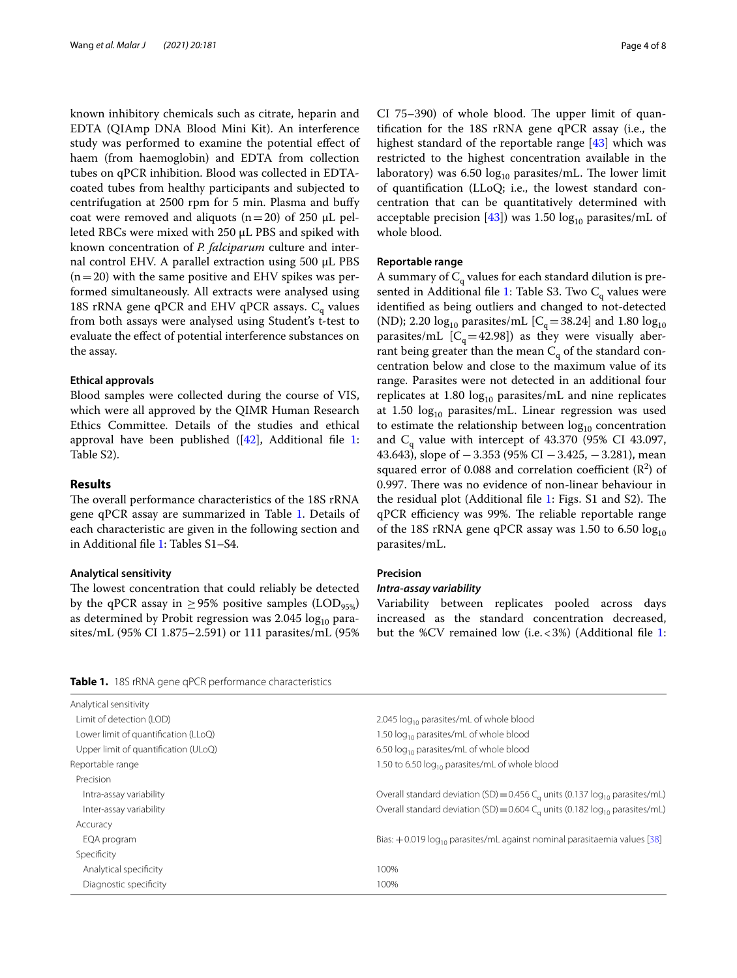known inhibitory chemicals such as citrate, heparin and EDTA (QIAmp DNA Blood Mini Kit). An interference study was performed to examine the potential efect of haem (from haemoglobin) and EDTA from collection tubes on qPCR inhibition. Blood was collected in EDTAcoated tubes from healthy participants and subjected to centrifugation at 2500 rpm for 5 min. Plasma and bufy coat were removed and aliquots  $(n=20)$  of 250  $\mu$ L pelleted RBCs were mixed with 250 µL PBS and spiked with known concentration of *P. falciparum* culture and internal control EHV. A parallel extraction using 500 µL PBS  $(n=20)$  with the same positive and EHV spikes was performed simultaneously. All extracts were analysed using 18S rRNA gene qPCR and EHV qPCR assays.  $C_q$  values from both assays were analysed using Student's t-test to evaluate the efect of potential interference substances on the assay.

# **Ethical approvals**

Blood samples were collected during the course of VIS, which were all approved by the QIMR Human Research Ethics Committee. Details of the studies and ethical approval have been published  $([42]$  $([42]$ , Additional file [1](#page-5-0): Table S2).

# **Results**

The overall performance characteristics of the 18S rRNA gene qPCR assay are summarized in Table [1](#page-3-0). Details of each characteristic are given in the following section and in Additional fle [1:](#page-5-0) Tables S1–S4.

# **Analytical sensitivity**

The lowest concentration that could reliably be detected by the qPCR assay in  $\geq$ 95% positive samples (LOD<sub>95%</sub>) as determined by Probit regression was  $2.045 \log_{10}$  parasites/mL (95% CI 1.875–2.591) or 111 parasites/mL (95%

 $CI$  75–390) of whole blood. The upper limit of quantifcation for the 18S rRNA gene qPCR assay (i.e., the highest standard of the reportable range [\[43\]](#page-7-15) which was restricted to the highest concentration available in the laboratory) was 6.50  $log_{10}$  parasites/mL. The lower limit of quantifcation (LLoQ; i.e., the lowest standard concentration that can be quantitatively determined with acceptable precision [\[43](#page-7-15)]) was 1.50  $log_{10}$  parasites/mL of whole blood.

#### **Reportable range**

A summary of  $C_q$  values for each standard dilution is pre-sented in Additional file [1:](#page-5-0) Table S3. Two  $C_q$  values were identifed as being outliers and changed to not-detected (ND); 2.20  $log_{10}$  parasites/mL [C<sub>q</sub>=38.24] and 1.80  $log_{10}$ parasites/mL  $[C_q=42.98]$ ) as they were visually aberrant being greater than the mean  $C_q$  of the standard concentration below and close to the maximum value of its range. Parasites were not detected in an additional four replicates at 1.80  $log_{10}$  parasites/mL and nine replicates at 1.50  $log_{10}$  parasites/mL. Linear regression was used to estimate the relationship between  $log_{10}$  concentration and  $C_q$  value with intercept of 43.370 (95% CI 43.097, 43.643), slope of  $-3.353$  (95% CI  $-3.425$ ,  $-3.281$ ), mean squared error of 0.088 and correlation coefficient  $(R^2)$  of 0.997. There was no evidence of non-linear behaviour in the residual plot (Additional file [1](#page-5-0): Figs. S1 and S2). The qPCR efficiency was 99%. The reliable reportable range of the 18S rRNA gene qPCR assay was 1.50 to 6.50  $log_{10}$ parasites/mL.

# **Precision**

# *Intra‑assay variability*

Variability between replicates pooled across days increased as the standard concentration decreased, but the %CV remained low (i.e. < 3%) (Additional file [1](#page-5-0):

<span id="page-3-0"></span>

| 2.045 $log_{10}$ parasites/mL of whole blood                                                          |
|-------------------------------------------------------------------------------------------------------|
| 1.50 log <sub>10</sub> parasites/mL of whole blood                                                    |
| 6.50 $log_{10}$ parasites/mL of whole blood                                                           |
| 1.50 to 6.50 log <sub>10</sub> parasites/mL of whole blood                                            |
|                                                                                                       |
| Overall standard deviation (SD) = $0.456$ C <sub>a</sub> units (0.137 log <sub>10</sub> parasites/mL) |
| Overall standard deviation (SD) = $0.604$ C <sub>o</sub> units (0.182 log <sub>10</sub> parasites/mL) |
|                                                                                                       |
| Bias: $+0.019 \log_{10}$ parasites/mL against nominal parasitaemia values [38]                        |
|                                                                                                       |
| 100%                                                                                                  |
| 100%                                                                                                  |
|                                                                                                       |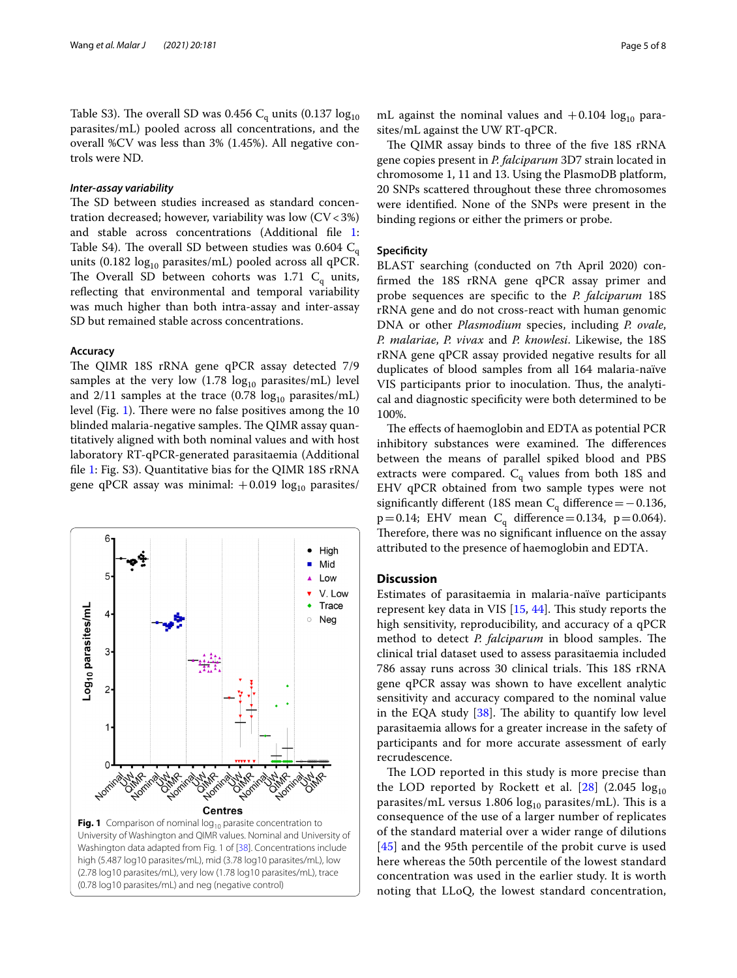Table S3). The overall SD was 0.456  $C_{q}$  units (0.137  $log_{10}$ ) parasites/mL) pooled across all concentrations, and the overall %CV was less than 3% (1.45%). All negative controls were ND.

# *Inter‑assay variability*

The SD between studies increased as standard concentration decreased; however, variability was low  $(CV < 3\%)$ and stable across concentrations (Additional fle [1](#page-5-0): Table S4). The overall SD between studies was 0.604  $C_q$ units (0.182  $log_{10}$  parasites/mL) pooled across all qPCR. The Overall SD between cohorts was 1.71  $C_q$  units, reflecting that environmental and temporal variability was much higher than both intra-assay and inter-assay SD but remained stable across concentrations.

# **Accuracy**

The QIMR 18S rRNA gene qPCR assay detected 7/9 samples at the very low  $(1.78 \text{ log}_{10} \text{ parasites/mL})$  level and  $2/11$  samples at the trace (0.78  $log_{10}$  parasites/mL) level (Fig. [1\)](#page-4-0). There were no false positives among the 10 blinded malaria-negative samples. The QIMR assay quantitatively aligned with both nominal values and with host laboratory RT-qPCR-generated parasitaemia (Additional fle [1:](#page-5-0) Fig. S3). Quantitative bias for the QIMR 18S rRNA gene qPCR assay was minimal:  $+0.019 \log_{10}$  parasites/



mL against the nominal values and  $+0.104 \log_{10}$  parasites/mL against the UW RT-qPCR.

The QIMR assay binds to three of the five 18S rRNA gene copies present in *P. falciparum* 3D7 strain located in chromosome 1, 11 and 13. Using the PlasmoDB platform, 20 SNPs scattered throughout these three chromosomes were identifed. None of the SNPs were present in the binding regions or either the primers or probe.

# **Specificity**

BLAST searching (conducted on 7th April 2020) confrmed the 18S rRNA gene qPCR assay primer and probe sequences are specifc to the *P. falciparum* 18S rRNA gene and do not cross-react with human genomic DNA or other *Plasmodium* species, including *P. ovale*, *P. malariae*, *P. vivax* and *P. knowlesi*. Likewise, the 18S rRNA gene qPCR assay provided negative results for all duplicates of blood samples from all 164 malaria-naïve VIS participants prior to inoculation. Thus, the analytical and diagnostic specifcity were both determined to be 100%.

The effects of haemoglobin and EDTA as potential PCR inhibitory substances were examined. The differences between the means of parallel spiked blood and PBS extracts were compared.  $C_q$  values from both 18S and EHV qPCR obtained from two sample types were not significantly different (18S mean  $C_q$  difference = −0.136,  $p=0.14$ ; EHV mean C<sub>q</sub> difference = 0.134, p = 0.064). Therefore, there was no significant influence on the assay attributed to the presence of haemoglobin and EDTA.

# **Discussion**

Estimates of parasitaemia in malaria-naïve participants represent key data in VIS  $[15, 44]$  $[15, 44]$  $[15, 44]$ . This study reports the high sensitivity, reproducibility, and accuracy of a qPCR method to detect *P. falciparum* in blood samples. The clinical trial dataset used to assess parasitaemia included 786 assay runs across 30 clinical trials. This 18S rRNA gene qPCR assay was shown to have excellent analytic sensitivity and accuracy compared to the nominal value in the EQA study  $[38]$  $[38]$  $[38]$ . The ability to quantify low level parasitaemia allows for a greater increase in the safety of participants and for more accurate assessment of early recrudescence.

<span id="page-4-0"></span>The LOD reported in this study is more precise than the LOD reported by Rockett et al.  $[28]$  (2.045  $\log_{10}$ parasites/mL versus 1.806  $log_{10}$  parasites/mL). This is a consequence of the use of a larger number of replicates of the standard material over a wider range of dilutions [[45](#page-7-17)] and the 95th percentile of the probit curve is used here whereas the 50th percentile of the lowest standard concentration was used in the earlier study. It is worth noting that LLoQ, the lowest standard concentration,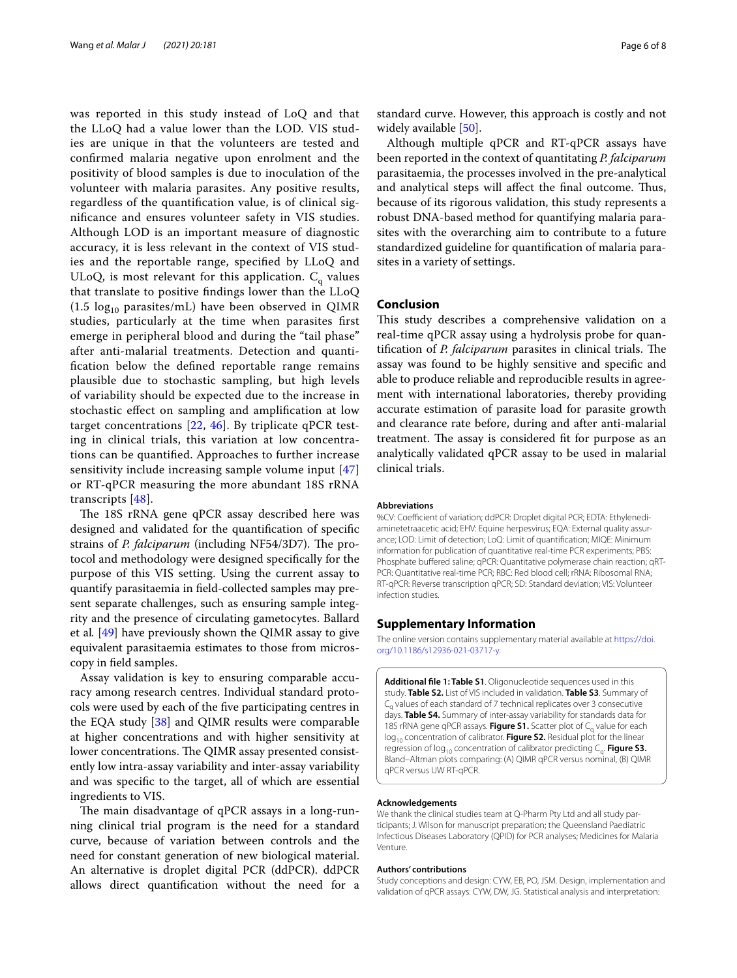was reported in this study instead of LoQ and that the LLoQ had a value lower than the LOD. VIS studies are unique in that the volunteers are tested and confrmed malaria negative upon enrolment and the positivity of blood samples is due to inoculation of the volunteer with malaria parasites. Any positive results, regardless of the quantifcation value, is of clinical signifcance and ensures volunteer safety in VIS studies. Although LOD is an important measure of diagnostic accuracy, it is less relevant in the context of VIS studies and the reportable range, specifed by LLoQ and ULoQ, is most relevant for this application.  $C_{q}$  values that translate to positive fndings lower than the LLoQ  $(1.5 \text{ log}_{10} \text{ parasites/mL})$  have been observed in QIMR studies, particularly at the time when parasites frst emerge in peripheral blood and during the "tail phase" after anti-malarial treatments. Detection and quantifcation below the defned reportable range remains plausible due to stochastic sampling, but high levels of variability should be expected due to the increase in stochastic efect on sampling and amplifcation at low target concentrations [[22](#page-6-17), [46\]](#page-7-18). By triplicate qPCR testing in clinical trials, this variation at low concentrations can be quantifed. Approaches to further increase sensitivity include increasing sample volume input [\[47](#page-7-19)] or RT-qPCR measuring the more abundant 18S rRNA transcripts [\[48](#page-7-20)].

The 18S rRNA gene qPCR assay described here was designed and validated for the quantifcation of specifc strains of *P. falciparum* (including NF54/3D7). The protocol and methodology were designed specifcally for the purpose of this VIS setting. Using the current assay to quantify parasitaemia in feld-collected samples may present separate challenges, such as ensuring sample integrity and the presence of circulating gametocytes. Ballard et al*.* [\[49](#page-7-21)] have previously shown the QIMR assay to give equivalent parasitaemia estimates to those from microscopy in feld samples.

Assay validation is key to ensuring comparable accuracy among research centres. Individual standard protocols were used by each of the fve participating centres in the EQA study [\[38\]](#page-7-10) and QIMR results were comparable at higher concentrations and with higher sensitivity at lower concentrations. The QIMR assay presented consistently low intra-assay variability and inter-assay variability and was specifc to the target, all of which are essential ingredients to VIS.

The main disadvantage of qPCR assays in a long-running clinical trial program is the need for a standard curve, because of variation between controls and the need for constant generation of new biological material. An alternative is droplet digital PCR (ddPCR). ddPCR allows direct quantifcation without the need for a

standard curve. However, this approach is costly and not widely available [\[50\]](#page-7-22).

Although multiple qPCR and RT-qPCR assays have been reported in the context of quantitating *P. falciparum* parasitaemia, the processes involved in the pre-analytical and analytical steps will affect the final outcome. Thus, because of its rigorous validation, this study represents a robust DNA-based method for quantifying malaria parasites with the overarching aim to contribute to a future standardized guideline for quantifcation of malaria parasites in a variety of settings.

# **Conclusion**

This study describes a comprehensive validation on a real-time qPCR assay using a hydrolysis probe for quantification of *P. falciparum* parasites in clinical trials. The assay was found to be highly sensitive and specifc and able to produce reliable and reproducible results in agreement with international laboratories, thereby providing accurate estimation of parasite load for parasite growth and clearance rate before, during and after anti-malarial treatment. The assay is considered fit for purpose as an analytically validated qPCR assay to be used in malarial clinical trials.

#### **Abbreviations**

%CV: Coefficient of variation; ddPCR: Droplet digital PCR; EDTA: Ethylenediaminetetraacetic acid; EHV: Equine herpesvirus; EQA: External quality assurance; LOD: Limit of detection; LoQ: Limit of quantifcation; MIQE: Minimum information for publication of quantitative real-time PCR experiments; PBS: Phosphate buffered saline; qPCR: Quantitative polymerase chain reaction; qRT-PCR: Quantitative real-time PCR; RBC: Red blood cell; rRNA: Ribosomal RNA; RT-qPCR: Reverse transcription qPCR; SD: Standard deviation; VIS: Volunteer infection studies.

# **Supplementary Information**

The online version contains supplementary material available at [https://doi.](https://doi.org/10.1186/s12936-021-03717-y) [org/10.1186/s12936-021-03717-y.](https://doi.org/10.1186/s12936-021-03717-y)

<span id="page-5-0"></span>**Additional fle 1: Table S1**. Oligonucleotide sequences used in this study. **Table S2.** List of VIS included in validation. **Table S3**. Summary of C<sub>o</sub> values of each standard of 7 technical replicates over 3 consecutive days. **Table S4.** Summary of inter-assay variability for standards data for 18S rRNA gene qPCR assays. Figure S1. Scatter plot of C<sub>a</sub> value for each log<sub>10</sub> concentration of calibrator. **Figure S2.** Residual plot for the linear regression of log<sub>10</sub> concentration of calibrator predicting C<sub>a</sub>. Figure S3. Bland–Altman plots comparing: (A) QIMR qPCR versus nominal, (B) QIMR qPCR versus UW RT-qPCR.

#### **Acknowledgements**

We thank the clinical studies team at Q-Pharm Pty Ltd and all study participants; J. Wilson for manuscript preparation; the Queensland Paediatric Infectious Diseases Laboratory (QPID) for PCR analyses; Medicines for Malaria Venture.

#### **Authors' contributions**

Study conceptions and design: CYW, EB, PO, JSM. Design, implementation and validation of qPCR assays: CYW, DW, JG. Statistical analysis and interpretation: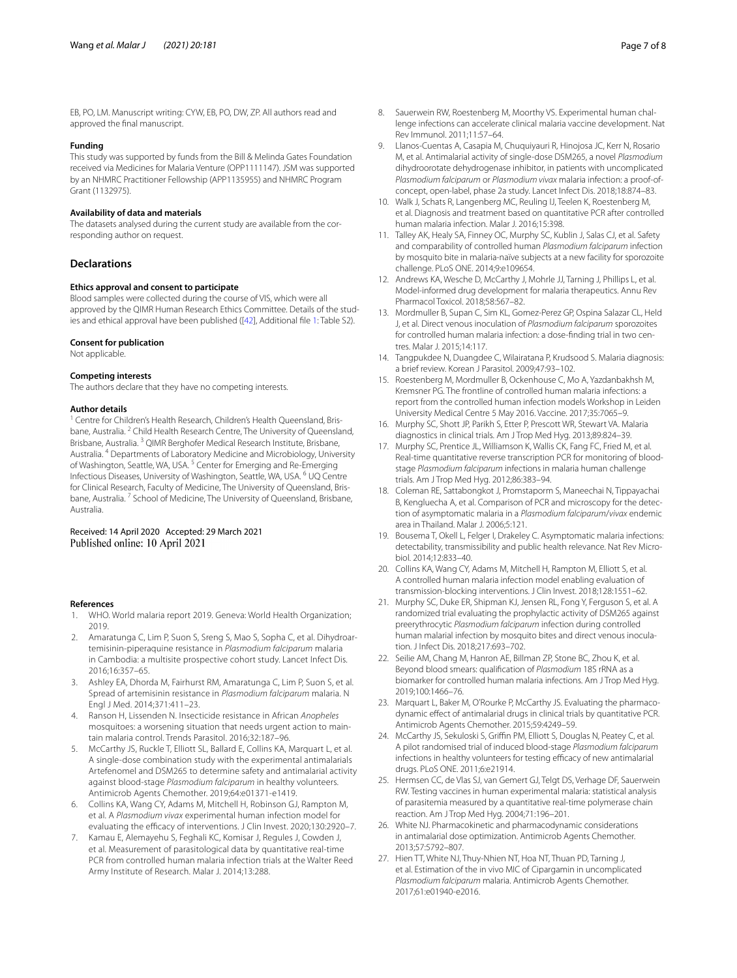# **Funding**

This study was supported by funds from the Bill & Melinda Gates Foundation received via Medicines for Malaria Venture (OPP1111147). JSM was supported by an NHMRC Practitioner Fellowship (APP1135955) and NHMRC Program Grant (1132975).

#### **Availability of data and materials**

The datasets analysed during the current study are available from the corresponding author on request.

#### **Declarations**

#### **Ethics approval and consent to participate**

Blood samples were collected during the course of VIS, which were all approved by the QIMR Human Research Ethics Committee. Details of the studies and ethical approval have been published ([\[42\]](#page-7-14), Additional fle [1](#page-5-0): Table S2).

# **Consent for publication**

Not applicable.

#### **Competing interests**

The authors declare that they have no competing interests.

#### **Author details**

<sup>1</sup> Centre for Children's Health Research, Children's Health Queensland, Brisbane, Australia.<sup>2</sup> Child Health Research Centre, The University of Queensland, Brisbane, Australia. 3 QIMR Berghofer Medical Research Institute, Brisbane, Australia. 4 Departments of Laboratory Medicine and Microbiology, University of Washington, Seattle, WA, USA.<sup>5</sup> Center for Emerging and Re-Emerging Infectious Diseases, University of Washington, Seattle, WA, USA. 6 UQ Centre for Clinical Research, Faculty of Medicine, The University of Queensland, Brisbane, Australia.<sup>7</sup> School of Medicine, The University of Queensland, Brisbane, Australia.

Received: 14 April 2020 Accepted: 29 March 2021 Published online: 10 April 2021

#### **References**

- <span id="page-6-0"></span>WHO. World malaria report 2019. Geneva: World Health Organization; 2019.
- <span id="page-6-1"></span>2. Amaratunga C, Lim P, Suon S, Sreng S, Mao S, Sopha C, et al. Dihydroartemisinin-piperaquine resistance in *Plasmodium falciparum* malaria in Cambodia: a multisite prospective cohort study. Lancet Infect Dis. 2016;16:357–65.
- 3. Ashley EA, Dhorda M, Fairhurst RM, Amaratunga C, Lim P, Suon S, et al. Spread of artemisinin resistance in *Plasmodium falciparum* malaria. N Engl J Med. 2014;371:411–23.
- <span id="page-6-2"></span>4. Ranson H, Lissenden N. Insecticide resistance in African *Anopheles* mosquitoes: a worsening situation that needs urgent action to maintain malaria control. Trends Parasitol. 2016;32:187–96.
- <span id="page-6-3"></span>5. McCarthy JS, Ruckle T, Elliott SL, Ballard E, Collins KA, Marquart L, et al. A single-dose combination study with the experimental antimalarials Artefenomel and DSM265 to determine safety and antimalarial activity against blood-stage *Plasmodium falciparum* in healthy volunteers. Antimicrob Agents Chemother. 2019;64:e01371-e1419.
- 6. Collins KA, Wang CY, Adams M, Mitchell H, Robinson GJ, Rampton M, et al. A *Plasmodium vivax* experimental human infection model for evaluating the efficacy of interventions. J Clin Invest. 2020;130:2920-7.
- <span id="page-6-5"></span>7. Kamau E, Alemayehu S, Feghali KC, Komisar J, Regules J, Cowden J, et al. Measurement of parasitological data by quantitative real-time PCR from controlled human malaria infection trials at the Walter Reed Army Institute of Research. Malar J. 2014;13:288.
- <span id="page-6-6"></span>8. Sauerwein RW, Roestenberg M, Moorthy VS. Experimental human challenge infections can accelerate clinical malaria vaccine development. Nat Rev Immunol. 2011;11:57–64.
- <span id="page-6-4"></span>9. Llanos-Cuentas A, Casapia M, Chuquiyauri R, Hinojosa JC, Kerr N, Rosario M, et al. Antimalarial activity of single-dose DSM265, a novel *Plasmodium* dihydroorotate dehydrogenase inhibitor, in patients with uncomplicated *Plasmodium falciparum* or *Plasmodium vivax* malaria infection: a proof-ofconcept, open-label, phase 2a study. Lancet Infect Dis. 2018;18:874–83.
- <span id="page-6-7"></span>10. Walk J, Schats R, Langenberg MC, Reuling IJ, Teelen K, Roestenberg M, et al. Diagnosis and treatment based on quantitative PCR after controlled human malaria infection. Malar J. 2016;15:398.
- 11. Talley AK, Healy SA, Finney OC, Murphy SC, Kublin J, Salas CJ, et al. Safety and comparability of controlled human *Plasmodium falciparum* infection by mosquito bite in malaria-naïve subjects at a new facility for sporozoite challenge. PLoS ONE. 2014;9:e109654.
- <span id="page-6-8"></span>12. Andrews KA, Wesche D, McCarthy J, Mohrle JJ, Tarning J, Phillips L, et al. Model-informed drug development for malaria therapeutics. Annu Rev Pharmacol Toxicol. 2018;58:567–82.
- <span id="page-6-9"></span>13. Mordmuller B, Supan C, Sim KL, Gomez-Perez GP, Ospina Salazar CL, Held J, et al. Direct venous inoculation of *Plasmodium falciparum* sporozoites for controlled human malaria infection: a dose-fnding trial in two centres. Malar J. 2015;14:117.
- <span id="page-6-10"></span>14. Tangpukdee N, Duangdee C, Wilairatana P, Krudsood S. Malaria diagnosis: a brief review. Korean J Parasitol. 2009;47:93–102.
- <span id="page-6-11"></span>15. Roestenberg M, Mordmuller B, Ockenhouse C, Mo A, Yazdanbakhsh M, Kremsner PG. The frontline of controlled human malaria infections: a report from the controlled human infection models Workshop in Leiden University Medical Centre 5 May 2016. Vaccine. 2017;35:7065–9.
- <span id="page-6-12"></span>16. Murphy SC, Shott JP, Parikh S, Etter P, Prescott WR, Stewart VA. Malaria diagnostics in clinical trials. Am J Trop Med Hyg. 2013;89:824–39.
- <span id="page-6-13"></span>17. Murphy SC, Prentice JL, Williamson K, Wallis CK, Fang FC, Fried M, et al. Real-time quantitative reverse transcription PCR for monitoring of bloodstage *Plasmodium falciparum* infections in malaria human challenge trials. Am J Trop Med Hyg. 2012;86:383–94.
- <span id="page-6-14"></span>18. Coleman RE, Sattabongkot J, Promstaporm S, Maneechai N, Tippayachai B, Kengluecha A, et al. Comparison of PCR and microscopy for the detection of asymptomatic malaria in a *Plasmodium falciparum*/*vivax* endemic area in Thailand. Malar J. 2006;5:121.
- <span id="page-6-15"></span>19. Bousema T, Okell L, Felger I, Drakeley C. Asymptomatic malaria infections: detectability, transmissibility and public health relevance. Nat Rev Microbiol. 2014;12:833–40.
- <span id="page-6-16"></span>20. Collins KA, Wang CY, Adams M, Mitchell H, Rampton M, Elliott S, et al. A controlled human malaria infection model enabling evaluation of transmission-blocking interventions. J Clin Invest. 2018;128:1551–62.
- 21. Murphy SC, Duke ER, Shipman KJ, Jensen RL, Fong Y, Ferguson S, et al. A randomized trial evaluating the prophylactic activity of DSM265 against preerythrocytic *Plasmodium falciparum* infection during controlled human malarial infection by mosquito bites and direct venous inoculation. J Infect Dis. 2018;217:693–702.
- <span id="page-6-17"></span>22. Seilie AM, Chang M, Hanron AE, Billman ZP, Stone BC, Zhou K, et al. Beyond blood smears: qualifcation of *Plasmodium* 18S rRNA as a biomarker for controlled human malaria infections. Am J Trop Med Hyg. 2019;100:1466–76.
- <span id="page-6-18"></span>23. Marquart L, Baker M, O'Rourke P, McCarthy JS. Evaluating the pharmacodynamic efect of antimalarial drugs in clinical trials by quantitative PCR. Antimicrob Agents Chemother. 2015;59:4249–59.
- <span id="page-6-19"></span>24. McCarthy JS, Sekuloski S, Griffin PM, Elliott S, Douglas N, Peatey C, et al. A pilot randomised trial of induced blood-stage *Plasmodium falciparum* infections in healthy volunteers for testing efficacy of new antimalarial drugs. PLoS ONE. 2011;6:e21914.
- <span id="page-6-20"></span>25. Hermsen CC, de Vlas SJ, van Gemert GJ, Telgt DS, Verhage DF, Sauerwein RW. Testing vaccines in human experimental malaria: statistical analysis of parasitemia measured by a quantitative real-time polymerase chain reaction. Am J Trop Med Hyg. 2004;71:196–201.
- <span id="page-6-21"></span>26. White NJ. Pharmacokinetic and pharmacodynamic considerations in antimalarial dose optimization. Antimicrob Agents Chemother. 2013;57:5792–807.
- <span id="page-6-22"></span>27. Hien TT, White NJ, Thuy-Nhien NT, Hoa NT, Thuan PD, Tarning J, et al. Estimation of the in vivo MIC of Cipargamin in uncomplicated *Plasmodium falciparum* malaria. Antimicrob Agents Chemother. 2017;61:e01940-e2016.